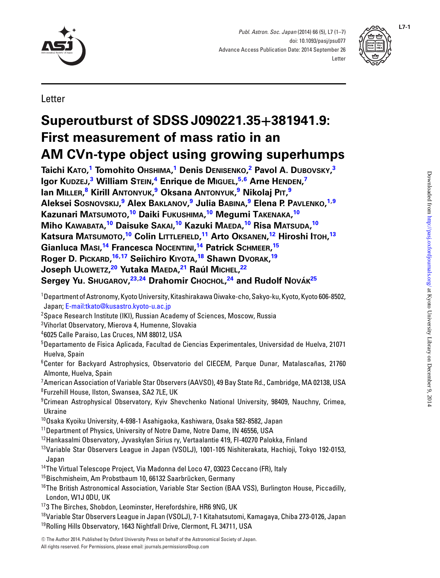

*Publ. Astron. Soc. Japan* (2014) 66 (5), L7 (1–7) doi: 10.1093/pasj/psu077 Advance Access Publication Date: 2014 September 26 **Letter** 



Letter

# **Superoutburst of SDSS J090221.35+381941.9: First measurement of mass ratio in an AM CVn-type object using growing superhumps**

**Taichi KATO, [1](#page-0-0) Tomohito OHSHIMA, [1](#page-0-0) Denis DENISENKO, [2](#page-0-1) Pavol A. DUBOVSKY, [3](#page-0-2) Igor KUDZEJ, [3](#page-0-2) William STEIN, [4](#page-0-3) Enrique de MIGUEL, [5,](#page-0-4)[6](#page-0-5) Arne HENDEN, [7](#page-0-6) Ian MILLER, [8](#page-0-7) Kirill ANTONYUK, [9](#page-0-8) Oksana ANTONYUK, [9](#page-0-8) Nikolaj PIT, [9](#page-0-8) Aleksei SOSNOVSKIJ, [9](#page-0-8) Alex BAKLANOV, [9](#page-0-8) Julia BABINA, [9](#page-0-8) Elena P. PAVLENKO, [1](#page-0-0)[,9](#page-0-8) Kazunari MATSUMOTO, [10](#page-0-9) Daiki FUKUSHIMA, [10](#page-0-9) Megumi TAKENAKA, [10](#page-0-9) Miho KAWABATA, [10](#page-0-9) Daisuke SAKAI, [10](#page-0-9) Kazuki MAEDA, [10](#page-0-9) Risa MATSUDA, [10](#page-0-9) Katsura MATSUMOTO, [10](#page-0-9) Colin LITTLEFIELD, [11](#page-0-10) Arto OKSANEN, [12](#page-0-11) Hiroshi ITOH, [13](#page-0-12) Gianluca MASI, [14](#page-0-13) Francesca NOCENTINI, [14](#page-0-13) Patrick SCHMEER, [15](#page-0-14) Roger D. PICKARD, [16,](#page-0-15)[17](#page-0-16) Seiichiro KIYOTA, [18](#page-0-17) Shawn DVORAK, [19](#page-0-18) Joseph ULOWETZ, [20](#page-1-0) Yutaka MAEDA, [21](#page-1-1) Raul M´ ICHEL, [22](#page-1-2)**  $S$ ergey Yu. Sн∪GAROV,<sup>[23,](#page-1-3)[24](#page-1-4)</sup> Drahomir Сносно∟,<sup>24</sup> and Rudolf Nováк<sup>[25](#page-1-5)</sup>

- <span id="page-0-0"></span>1 Department of Astronomy, Kyoto University, Kitashirakawa Oiwake-cho, Sakyo-ku, Kyoto, Kyoto 606-8502, Japan; [E-mail:tkato@kusastro.kyoto-u.ac.jp](mailto:E-mail:tkato@kusastro.kyoto-u.ac.jp)
- $^{\rm 2}$ Space Research Institute (IKI), Russian Academy of Sciences, Moscow, Russia
- <span id="page-0-1"></span> $^3$ Vihorlat Observatory, Mierova 4, Humenne, Slovakia
- <span id="page-0-2"></span>4 6025 Calle Paraiso, Las Cruces, NM 88012, USA
- <span id="page-0-4"></span><span id="page-0-3"></span> $^5$ Departamento de Física Aplicada, Facultad de Ciencias Experimentales, Universidad de Huelva, 21071 Huelva, Spain
- <span id="page-0-5"></span><sup>6</sup>Center for Backyard Astrophysics, Observatorio del CIECEM, Parque Dunar, Matalascañas, 21760 Almonte, Huelva, Spain
- <span id="page-0-6"></span>7 American Association of Variable Star Observers (AAVSO), 49 Bay State Rd., Cambridge, MA 02138, USA 8 Furzehill House, Ilston, Swansea, SA2 7LE, UK
- <span id="page-0-8"></span><span id="page-0-7"></span>9 Crimean Astrophysical Observatory, Kyiv Shevchenko National University, 98409, Nauchny, Crimea, Ukraine
- 10Osaka Kyoiku University, 4-698-1 Asahigaoka, Kashiwara, Osaka 582-8582, Japan
- <span id="page-0-9"></span><sup>11</sup> Department of Physics, University of Notre Dame, Notre Dame, IN 46556, USA
- <span id="page-0-10"></span><sup>12</sup> Hankasalmi Observatory, Jyvaskylan Sirius ry, Vertaalantie 419, FI-40270 Palokka, Finland
- <span id="page-0-12"></span><span id="page-0-11"></span>13Variable Star Observers League in Japan (VSOLJ), 1001-105 Nishiterakata, Hachioji, Tokyo 192-0153, Japan
- <sup>14</sup>The Virtual Telescope Project, Via Madonna del Loco 47, 03023 Ceccano (FR), Italy
- <span id="page-0-13"></span><sup>15</sup>Bischmisheim, Am Probstbaum 10, 66132 Saarbrücken, Germany
- <span id="page-0-15"></span><span id="page-0-14"></span><sup>16</sup>The British Astronomical Association, Variable Star Section (BAA VSS), Burlington House, Piccadilly, London, W1J 0DU, UK
- 173 The Birches, Shobdon, Leominster, Herefordshire, HR6 9NG, UK
- <span id="page-0-17"></span><span id="page-0-16"></span>18Variable Star Observers League in Japan (VSOLJ), 7-1 Kitahatsutomi, Kamagaya, Chiba 273-0126, Japan <sup>19</sup>Rolling Hills Observatory, 1643 Nightfall Drive, Clermont, FL 34711, USA

<span id="page-0-18"></span><sup>-</sup><sup>C</sup> The Author 2014. Published by Oxford University Press on behalf of the Astronomical Society of Japan. All rights reserved. For Permissions, please email: journals.permissions@oup.com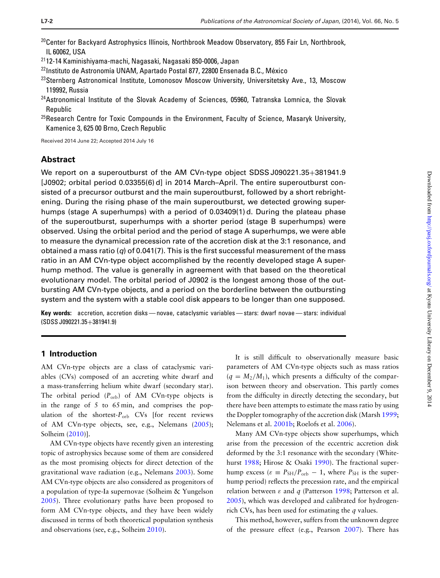- <span id="page-1-0"></span> $^{20}$ Center for Backyard Astrophysics Illinois, Northbrook Meadow Observatory, 855 Fair Ln, Northbrook, IL 60062, USA
- <span id="page-1-1"></span>2112-14 Kaminishiyama-machi, Nagasaki, Nagasaki 850-0006, Japan
- <span id="page-1-2"></span><sup>22</sup> Instituto de Astronomía UNAM, Apartado Postal 877, 22800 Ensenada B.C., México
- <span id="page-1-3"></span> $^{23}$ Sternberg Astronomical Institute, Lomonosov Moscow University, Universitetsky Ave., 13, Moscow 119992, Russia
- <span id="page-1-4"></span><sup>24</sup> Astronomical Institute of the Slovak Academy of Sciences, 05960, Tatranska Lomnica, the Slovak Republic
- <span id="page-1-5"></span> $25$ Research Centre for Toxic Compounds in the Environment, Faculty of Science, Masaryk University, Kamenice 3, 625 00 Brno, Czech Republic

Received 2014 June 22; Accepted 2014 July 16

# **Abstract**

We report on a superoutburst of the AM CVn-type object SDSS J090221.35+381941.9 [J0902; orbital period 0.03355(6) d] in 2014 March–April. The entire superoutburst consisted of a precursor outburst and the main superoutburst, followed by a short rebrightening. During the rising phase of the main superoutburst, we detected growing superhumps (stage A superhumps) with a period of 0.03409(1) d. During the plateau phase of the superoutburst, superhumps with a shorter period (stage B superhumps) were observed. Using the orbital period and the period of stage A superhumps, we were able to measure the dynamical precession rate of the accretion disk at the 3:1 resonance, and obtained a mass ratio ( $q$ ) of 0.041(7). This is the first successful measurement of the mass ratio in an AM CVn-type object accomplished by the recently developed stage A superhump method. The value is generally in agreement with that based on the theoretical evolutionary model. The orbital period of J0902 is the longest among those of the outbursting AM CVn-type objects, and a period on the borderline between the outbursting system and the system with a stable cool disk appears to be longer than one supposed.

**Key words:** accretion, accretion disks — novae, cataclysmic variables — stars: dwarf novae — stars: individual (SDSS J090221.35+381941.9)

## **1 Introduction**

AM CVn-type objects are a class of cataclysmic variables (CVs) composed of an accreting white dwarf and a mass-transferring helium white dwarf (secondary star). The orbital period ( $P_{\text{orb}}$ ) of AM CVn-type objects is in the range of 5 to 65 min, and comprises the population of the shortest-P<sub>orb</sub> CVs [for recent reviews of AM CVn-type objects, see, e.g., Nelemans [\(2005\)](#page-5-0); Solheim [\(2010\)](#page-6-0)].

AM CVn-type objects have recently given an interesting topic of astrophysics because some of them are considered as the most promising objects for direct detection of the gravitational wave radiation (e.g., Nelemans [2003\)](#page-5-1). Some AM CVn-type objects are also considered as progenitors of a population of type-Ia supernovae (Solheim & Yungelson [2005\)](#page-6-1). Three evolutionary paths have been proposed to form AM CVn-type objects, and they have been widely discussed in terms of both theoretical population synthesis and observations (see, e.g., Solheim [2010\)](#page-6-0).

It is still difficult to observationally measure basic parameters of AM CVn-type objects such as mass ratios  $(q = M_2/M_1)$ , which presents a difficulty of the comparison between theory and observation. This partly comes from the difficulty in directly detecting the secondary, but there have been attempts to estimate the mass ratio by using the Doppler tomography of the accretion disk (Marsh [1999;](#page-5-2) Nelemans et al. [2001b;](#page-5-3) Roelofs et al. [2006\)](#page-6-2).

Many AM CVn-type objects show superhumps, which arise from the precession of the eccentric accretion disk deformed by the 3:1 resonance with the secondary (White-hurst [1988;](#page-6-3) Hirose & Osaki [1990\)](#page-5-4). The fractional superhump excess ( $\varepsilon \equiv P_{\text{SH}}/P_{\text{orb}} - 1$ , where  $P_{\text{SH}}$  is the superhump period) reflects the precession rate, and the empirical relation between  $\varepsilon$  and  $q$  (Patterson [1998;](#page-5-5) Patterson et al. [2005\)](#page-6-4), which was developed and calibrated for hydrogenrich CVs, has been used for estimating the *q* values.

This method, however, suffers from the unknown degree of the pressure effect (e.g., Pearson [2007\)](#page-6-5). There has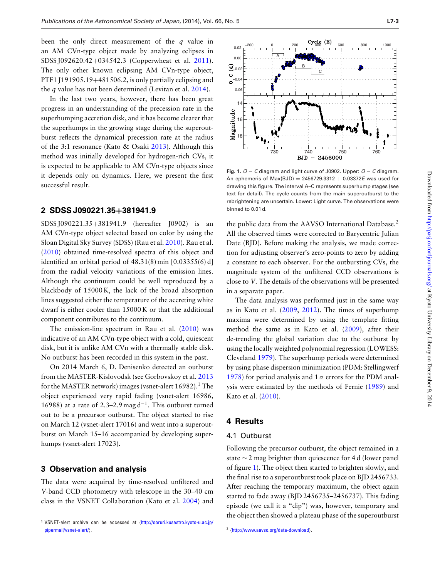been the only direct measurement of the *q* value in an AM CVn-type object made by analyzing eclipses in SDSS J092620.42+034542.3 (Copperwheat et al. [2011\)](#page-5-6). The only other known eclipsing AM CVn-type object, PTF1 J191905.19+481506.2, is only partially eclipsing and the *q* value has not been determined (Levitan et al. [2014\)](#page-5-7).

In the last two years, however, there has been great progress in an understanding of the precession rate in the superhumping accretion disk, and it has become clearer that the superhumps in the growing stage during the superoutburst reflects the dynamical precession rate at the radius of the 3:1 resonance (Kato & Osaki [2013\)](#page-5-8). Although this method was initially developed for hydrogen-rich CVs, it is expected to be applicable to AM CVn-type objects since it depends only on dynamics. Here, we present the first successful result.

#### **2 SDSS J090221.35+381941.9**

SDSS J090221.35+381941.9 (hereafter J0902) is an AM CVn-type object selected based on color by using the Sloan Digital Sky Survey (SDSS) (Rau et al. [2010\)](#page-6-6). Rau et al. [\(2010\)](#page-6-6) obtained time-resolved spectra of this object and identified an orbital period of 48.31(8) min [0.03355(6) d] from the radial velocity variations of the emission lines. Although the continuum could be well reproduced by a blackbody of 15000 K, the lack of the broad absorption lines suggested either the temperature of the accreting white dwarf is either cooler than 15000 K or that the additional component contributes to the continuum.

The emission-line spectrum in Rau et al.  $(2010)$  was indicative of an AM CVn-type object with a cold, quiescent disk, but it is unlike AM CVn with a thermally stable disk. No outburst has been recorded in this system in the past.

On 2014 March 6, D. Denisenko detected an outburst from the MASTER-Kislovodsk (see Gorbovskoy et al. [2013](#page-5-9) for the MASTER network) images (vsnet-alert  $16982$ ).<sup>1</sup> The object experienced very rapid fading (vsnet-alert 16986, 16988) at a rate of 2.3–2.9 mag d<sup>-1</sup>. This outburst turned out to be a precursor outburst. The object started to rise on March 12 (vsnet-alert 17016) and went into a superoutburst on March 15–16 accompanied by developing superhumps (vsnet-alert 17023).

### **3 Observation and analysis**

The data were acquired by time-resolved unfiltered and *V*-band CCD photometry with telescope in the 30–40 cm class in the VSNET Collaboration (Kato et al. [2004\)](#page-5-10) and

<span id="page-2-0"></span>

**Fig. 1.** *O* − *C* diagram and light curve of J0902. Upper: *O* − *C* diagram. An ephemeris of Max(BJD) = 2456729.3312 + 0.03372*E* was used for drawing this figure. The interval A–C represents superhump stages (see text for detail). The cycle counts from the main superoutburst to the rebrightening are uncertain. Lower: Light curve. The observations were binned to 0.01 d.

the public data from the AAVSO International Database.<sup>2</sup> All the observed times were corrected to Barycentric Julian Date (BJD). Before making the analysis, we made correction for adjusting observer's zero-points to zero by adding a constant to each observer. For the outbursting CVs, the magnitude system of the unfiltered CCD observations is close to *V*. The details of the observations will be presented in a separate paper.

The data analysis was performed just in the same way as in Kato et al. [\(2009,](#page-5-11) [2012\)](#page-5-12). The times of superhump maxima were determined by using the template fitting method the same as in Kato et al. [\(2009\)](#page-5-11), after their de-trending the global variation due to the outburst by using the locally weighted polynomial regression (LOWESS: Cleveland [1979\)](#page-5-13). The superhump periods were determined by using phase dispersion minimization (PDM: Stellingwerf [1978\)](#page-6-7) for period analysis and  $1\sigma$  errors for the PDM analysis were estimated by the methods of Fernie [\(1989\)](#page-5-14) and Kato et al. [\(2010\)](#page-5-15).

# **4 Results**

#### 4.1 Outburst

Following the precursor outburst, the object remained in a state ∼ 2 mag brighter than quiescence for 4 d (lower panel of figure [1\)](#page-2-0). The objec[t](#page-3-0) then started to brighten slowly, and the final rise to a superoutburst took place on BJD 2456733. After reaching the temporary maximum, the object again started to fade away (BJD 2456735–2456737). This fading episode (we call it a "dip") was, however, temporary and the object then showed a plateau phase of the superoutburst

<sup>&</sup>lt;sup>1</sup> VSNET-alert archive can be accessed at  $\frac{http://ooruri.kusastro.kyoto-u.ac.jp/$  $\frac{http://ooruri.kusastro.kyoto-u.ac.jp/$ [pipermail/vsnet-alert/](http://ooruri.kusastro.kyoto-u.ac.jp/pipermail/vsnet-alert/).

<sup>&</sup>lt;sup>2</sup> (<http://www.aavso.org/data-download>).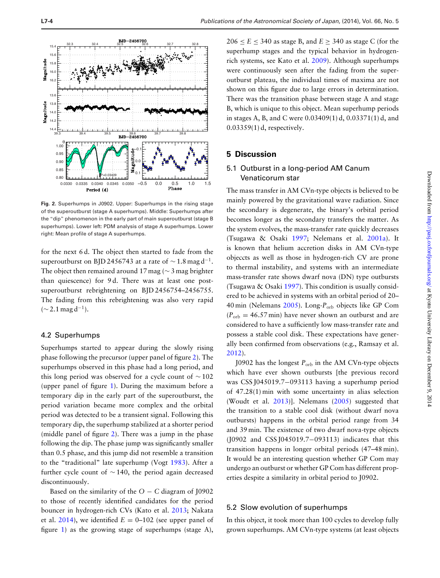<span id="page-3-0"></span>

**Fig. 2.** Superhumps in J0902. Upper: Superhumps in the rising stage of the superoutburst (stage A superhumps). Middle: Superhumps after the "dip" phenomenon in the early part of main superoutburst (stage B superhumps). Lower left: PDM analysis of stage A superhumps. Lower right: Mean profile of stage A superhumps.

for the next 6 d. The object then started to fade from the superoutburst on BJD 2456743 at a rate of  $\sim$  1.8 mag d<sup>-1</sup>. The object then remained around 17 mag ( $\sim$  3 mag brighter than quiescence) for 9 d. There was at least one postsuperoutburst rebrightening on BJD 2456754–2456755. The fading from this rebrightening was also very rapid  $(\sim 2.1 \,\text{mag}\,\text{d}^{-1})$ .

#### 4.2 Superhumps

Superhumps started to appear during the slowly rising phase following the precursor (upper panel of figure [2\)](#page-3-0). The superhumps observed in this phase had a long period, and this long period was observed for a cycle count of  $\sim$  102 (upper panel of figure [1\)](#page-2-0). During the maximum before a temporary dip in the early part of the superoutburst, the period variation became more complex and the orbital period was detected to be a transient signal. Following this temporary dip, the superhump stabilized at a shorter period (middle panel of figure [2\)](#page-3-0). There was a jump in the phase following the dip. The phase jump was significantly smaller than 0.5 phase, and this jump did not resemble a transition to the "traditional" late superhump (Vogt [1983\)](#page-6-8). After a further cycle count of ∼ 140, the period again decreased discontinuously.

Based on the similarity of the  $O - C$  diagram of J0902 to those of recently identified candidates for the period bouncer in hydrogen-rich CVs (Kato et al. [2013;](#page-5-16) Nakata et al. [2014\)](#page-5-17), we identified  $E = 0-102$  (see upper panel of figure [1\)](#page-2-0) as the growing stage of superhumps (stage A),

 $206 \le E \le 340$  as stage B, and  $E > 340$  as stage C (for the superhump stages and the typical behavior in hydrogenrich systems, see Kato et al. [2009\)](#page-5-11). Although superhumps were continuously seen after the fading from the superoutburst plateau, the individual times of maxima are not shown on this figure due to large errors in determination. There was the transition phase between stage A and stage B, which is unique to this object. Mean superhump periods in stages A, B, and C were 0.03409(1) d, 0.03371(1) d, and 0.03359(1) d, respectively.

#### **5 Discussion**

# 5.1 Outburst in a long-period AM Canum Venaticorum star

The mass transfer in AM CVn-type objects is believed to be mainly powered by the gravitational wave radiation. Since the secondary is degenerate, the binary's orbital period becomes longer as the secondary transfers the matter. As the system evolves, the mass-transfer rate quickly decreases (Tsugawa & Osaki [1997;](#page-6-9) Nelemans et al. [2001a\)](#page-5-18). It is known that helium accretion disks in AM CVn-type objeccts as well as those in hydrogen-rich CV are prone to thermal instability, and systems with an intermediate mass-transfer rate shows dwarf nova (DN) type outbursts (Tsugawa & Osaki [1997\)](#page-6-9). This condition is usually considered to be achieved in systems with an orbital period of 20– 40 min (Nelemans [2005\)](#page-5-0). Long-P<sub>orb</sub> objects like GP Com  $(P_{\text{orb}} = 46.57 \text{ min})$  have never shown an outburst and are considered to have a sufficiently low mass-transfer rate and possess a stable cool disk. These expectations have generally been confirmed from observations (e.g., Ramsay et al. [2012\)](#page-6-10).

J0902 has the longest  $P_{\text{orb}}$  in the AM CVn-type objects which have ever shown outbursts [the previous record was CSS J045019.7−093113 having a superhump period of 47.28(1) min with some uncertainty in alias selection (Woudt et al. [2013\)](#page-6-11)]. Nelemans [\(2005\)](#page-5-0) suggested that the transition to a stable cool disk (without dwarf nova outbursts) happens in the orbital period range from 34 and 39 min. The existence of two dwarf nova-type objects (J0902 and CSS J045019.7−093113) indicates that this transition happens in longer orbital periods (47–48 min). It would be an interesting question whether GP Com may undergo an outburst or whether GP Com has different properties despite a similarity in orbital period to J0902.

#### 5.2 Slow evolution of superhumps

In this object, it took more than 100 cycles to develop fully grown superhumps. AM CVn-type systems (at least objects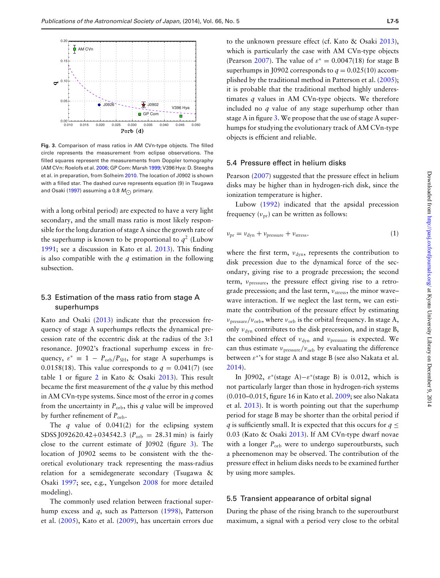<span id="page-4-0"></span>

**Fig. 3.** Comparison of mass ratios in AM CVn-type objects. The filled circle represents the measurement from eclipse observations. The filled squares represent the measurements from Doppler tomography (AM CVn: Roelofs et al. [2006;](#page-6-2) GP Com: Marsh [1999;](#page-5-2) V396 Hya: D. Steeghs et al. in preparation, from Solheim [2010.](#page-6-0) The location of J0902 is shown with a filled star. The dashed curve represents equation (9) in Tsugawa and Osaki [\(1997\)](#page-6-9) assuming a 0.8  $M_{\odot}$  primary.

with a long orbital period) are expected to have a very light secondary, and the small mass ratio is most likely responsible for the long duration of stage A since the growth rate of the superhump is known to be proportional to  $q^2$  (Lubow [1991;](#page-5-19) see a discussion in Kato et al. [2013\)](#page-5-16). This finding is also compatible with the *q* estimation in the following subsection.

# 5.3 Estimation of the mass ratio from stage A superhumps

Kato and Osaki [\(2013\)](#page-5-8) indicate that the precession frequency of stage A superhumps reflects the dynamical precession rate of the eccentric disk at the radius of the 3:1 resonance. J0902's fractional superhump excess in frequency,  $\varepsilon^* \equiv 1 - P_{\text{orb}}/P_{\text{SH}}$ , for stage A superhumps is 0.0158(18). This value corresponds to  $q = 0.041(7)$  (see table 1 or figure [2](#page-3-0) in Kato & Osaki [2013\)](#page-5-8). This result became the first measurement of the *q* value by this method in AM CVn-type systems. Since most of the error in *q* comes from the uncertainty in  $P_{\text{orb}}$ , this *q* value will be improved by further refinement of *P*orb.

The *q* value of 0.041(2) for the eclipsing system SDSS J092620.42+034542.3 ( $P_{\text{orb}} = 28.31 \text{ min}$ ) is fairly close to the current estimate of J0902 (figure [3\)](#page-4-0). The location of J0902 seems to be consistent with the theoretical evolutionary track representing the mass-radius relation for a semidegenerate secondary (Tsugawa & Osaki [1997;](#page-6-9) see, e.g., Yungelson [2008](#page-6-12) for more detailed modeling).

The commonly used relation between fractional superhump excess and *q*, such as Patterson [\(1998\)](#page-5-5), Patterson et al. [\(2005\)](#page-6-4), Kato et al. [\(2009\)](#page-5-11), has uncertain errors due

to the unknown pressure effect (cf. Kato & Osaki [2013\)](#page-5-8), which is particularly the case with AM CVn-type objects (Pearson [2007\)](#page-6-5). The value of  $\varepsilon^* = 0.0047(18)$  for stage B superhumps in J0902 corresponds to  $q = 0.025(10)$  accomplished by the traditional method in Patterson et al. [\(2005\)](#page-6-4); it is probable that the traditional method highly underestimates *q* values in AM CVn-type objects. We therefore included no *q* value of any stage superhump other than stage A in figure [3.](#page-4-0) We propose that the use of stage A superhumps for studying the evolutionary track of AM CVn-type objects is efficient and reliable.

#### 5.4 Pressure effect in helium disks

Pearson [\(2007\)](#page-6-5) suggested that the pressure effect in helium disks may be higher than in hydrogen-rich disk, since the ionization temperature is higher.

Lubow [\(1992\)](#page-5-20) indicated that the apsidal precession frequency  $(v_{\text{pr}})$  can be written as follows:

$$
\nu_{\rm pr} = \nu_{\rm dyn} + \nu_{\rm pressure} + \nu_{\rm stress},\tag{1}
$$

where the first term,  $v_{dyn}$ , represents the contribution to disk precession due to the dynamical force of the secondary, giving rise to a prograde precession; the second term,  $v<sub>pressure</sub>$ , the pressure effect giving rise to a retrograde precession; and the last term,  $v_{\text{stress}}$ , the minor wave– wave interaction. If we neglect the last term, we can estimate the contribution of the pressure effect by estimating  $v_{\text{pressure}}/v_{\text{orb}}$ , where  $v_{\text{orb}}$  is the orbital frequency. In stage A, only  $v_{dyn}$  contributes to the disk precession, and in stage B, the combined effect of  $v_{dyn}$  and  $v_{pressure}$  is expected. We can thus estimate  $v_{\text{pressure}}/v_{\text{orb}}$  by evaluating the difference between  $\varepsilon^*$ 's for stage A and stage B (see also Nakata et al. [2014\)](#page-5-17).

In J0902,  $\varepsilon^*$ (stage A)– $\varepsilon^*$ (stage B) is 0.012, which is not particularly larger than those in hydrogen-rich systems (0.010–0.015, figure 16 in Kato et al. [2009;](#page-5-11) see also Nakata et al. [2013\)](#page-5-21). It is worth pointing out that the superhump period for stage B may be shorter than the orbital period if *q* is sufficiently small. It is expected that this occurs for  $q \leq$ 0.03 (Kato & Osaki [2013\)](#page-5-8). If AM CVn-type dwarf novae with a longer  $P_{\text{orb}}$  were to undergo superoutbursts, such a pheenomenon may be observed. The contribution of the pressure effect in helium disks needs to be examined further by using more samples.

#### 5.5 Transient appearance of orbital signal

During the phase of the rising branch to the superoutburst maximum, a signal with a period very close to the orbital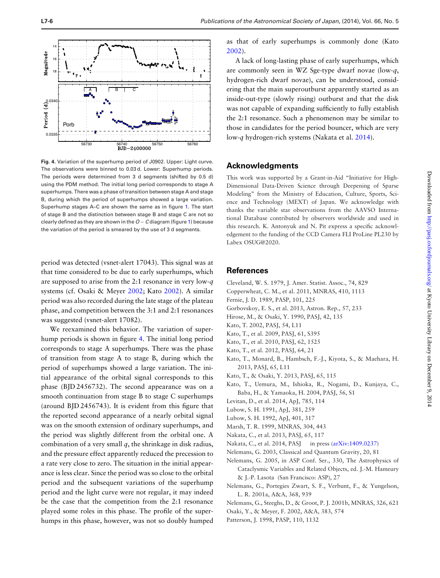<span id="page-5-24"></span>

**Fig. 4.** Variation of the superhump period of J0902. Upper: Light curve. The observations were binned to 0.03 d. Lower: Superhump periods. The periods were determined from 3 d segments (shifted by 0.5 d) using the PDM method. The initial long period corresponds to stage A superhumps. There was a phase of transition between stage A and stage B, during which the period of superhumps showed a large variation. Superhump stages A–C are shown the same as in figure [1.](#page-2-0) The start of stage B and the distinction between stage B and stage C are not so clearly defined as they are shown in the *O* − *C* diagram (figure [1\)](#page-2-0) because the variation of the period is smeared by the use of 3 d segments.

period was detected (vsnet-alert 17043). This signal was at that time considered to be due to early superhumps, which are supposed to arise from the 2:1 resonance in very low-*q* systems (cf. Osaki & Meyer [2002;](#page-5-22) Kato [2002\)](#page-5-23). A similar period was also recorded during the late stage of the plateau phase, and competition between the 3:1 and 2:1 resonances was suggested (vsnet-alert 17082).

We reexamined this behavior. The variation of superhump periods is shown in figure [4.](#page-5-24) The initial long period corresponds to stage A superhumps. There was the phase of transition from stage A to stage B, during which the period of superhumps showed a large variation. The initial appearance of the orbital signal corresponds to this phase (BJD 2456732). The second appearance was on a smooth continuation from stage B to stage C superhumps (around BJD 2456743). It is evident from this figure that the reported second appearance of a nearly orbital signal was on the smooth extension of ordinary superhumps, and the period was slightly different from the orbital one. A combination of a very small *q*, the shrinkage in disk radius, and the pressure effect apparently reduced the precession to a rate very close to zero. The situation in the initial appearance is less clear. Since the period was so close to the orbital period and the subsequent variations of the superhump period and the light curve were not regular, it may indeed be the case that the competition from the 2:1 resonance played some roles in this phase. The profile of the superhumps in this phase, however, was not so doubly humped

as that of early superhumps is commonly done (Kato [2002\)](#page-5-23).

A lack of long-lasting phase of early superhumps, which are commonly seen in WZ Sge-type dwarf novae (low-*q*, hydrogen-rich dwarf novae), can be understood, considering that the main superoutburst apparently started as an inside-out-type (slowly rising) outburst and that the disk was not capable of expanding sufficiently to fully establish the 2:1 resonance. Such a phenomenon may be similar to those in candidates for the period bouncer, which are very low-*q* hydrogen-rich systems (Nakata et al. [2014\)](#page-5-17).

#### **Acknowledgments**

This work was supported by a Grant-in-Aid "Initiative for High-Dimensional Data-Driven Science through Deepening of Sparse Modeling" from the Ministry of Education, Culture, Sports, Science and Technology (MEXT) of Japan. We acknowledge with thanks the variable star observations from the AAVSO International Database contributed by observers worldwide and used in this research. K. Antonyuk and N. Pit express a specific acknowledgement to the funding of the CCD Camera FLI ProLine PL230 by Labex OSUG@2020.

#### **References**

- <span id="page-5-13"></span>Cleveland, W. S. 1979, J. Amer. Statist. Assoc., 74, 829
- <span id="page-5-6"></span>Copperwheat, C. M., et al. 2011, MNRAS, 410, 1113
- <span id="page-5-14"></span>Fernie, J. D. 1989, PASP, 101, 225
- <span id="page-5-9"></span>Gorbovskoy, E. S., et al. 2013, Astron. Rep., 57, 233
- <span id="page-5-4"></span>Hirose, M., & Osaki, Y. 1990, PASJ, 42, 135
- <span id="page-5-23"></span>Kato, T. 2002, PASJ, 54, L11
- <span id="page-5-11"></span>Kato, T., et al. 2009, PASJ, 61, S395
- <span id="page-5-15"></span>Kato, T., et al. 2010, PASJ, 62, 1525
- <span id="page-5-12"></span>Kato, T., et al. 2012, PASJ, 64, 21
- <span id="page-5-16"></span>Kato, T., Monard, B., Hambsch, F.-J., Kiyota, S., & Maehara, H. 2013, PASJ, 65, L11
- <span id="page-5-8"></span>Kato, T., & Osaki, Y. 2013, PASJ, 65, 115
- <span id="page-5-10"></span>Kato, T., Uemura, M., Ishioka, R., Nogami, D., Kunjaya, C., Baba, H., & Yamaoka, H. 2004, PASJ, 56, S1
- <span id="page-5-7"></span>Levitan, D., et al. 2014, ApJ, 785, 114
- <span id="page-5-19"></span>Lubow, S. H. 1991, ApJ, 381, 259
- <span id="page-5-20"></span>Lubow, S. H. 1992, ApJ, 401, 317
- <span id="page-5-2"></span>Marsh, T. R. 1999, MNRAS, 304, 443
- <span id="page-5-21"></span>Nakata, C., et al. 2013, PASJ, 65, 117
- <span id="page-5-17"></span>Nakata, C., et al. 2014, PASJ in press [\(arXiv:1409.0237\)](http://arxiv.org/abs/1409.0237)
- <span id="page-5-1"></span>Nelemans, G. 2003, Classical and Quantum Gravity, 20, 81
- <span id="page-5-0"></span>Nelemans, G. 2005, in ASP Conf. Ser., 330, The Astrophysics of Cataclysmic Variables and Related Objects, ed. J.-M. Hameury & J.-P. Lasota (San Francisco: ASP), 27
- <span id="page-5-18"></span>Nelemans, G., Portegies Zwart, S. F., Verbunt, F., & Yungelson, L. R. 2001a, A&A, 368, 939
- <span id="page-5-3"></span>Nelemans, G., Steeghs, D., & Groot, P. J. 2001b, MNRAS, 326, 621
- <span id="page-5-22"></span>Osaki, Y., & Meyer, F. 2002, A&A, 383, 574
- <span id="page-5-5"></span>Patterson, J. 1998, PASP, 110, 1132